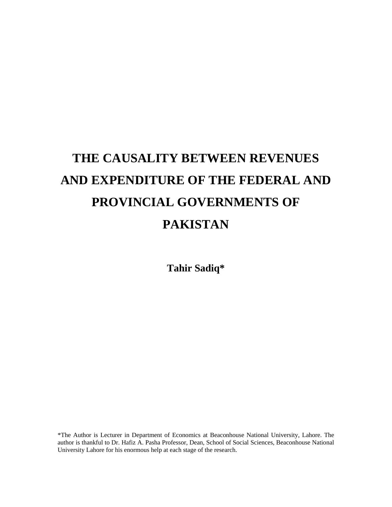# **THE CAUSALITY BETWEEN REVENUES AND EXPENDITURE OF THE FEDERAL AND PROVINCIAL GOVERNMENTS OF PAKISTAN**

**Tahir Sadiq\***

\*The Author is Lecturer in Department of Economics at Beaconhouse National University, Lahore. The author is thankful to Dr. Hafiz A. Pasha Professor, Dean, School of Social Sciences, Beaconhouse National University Lahore for his enormous help at each stage of the research.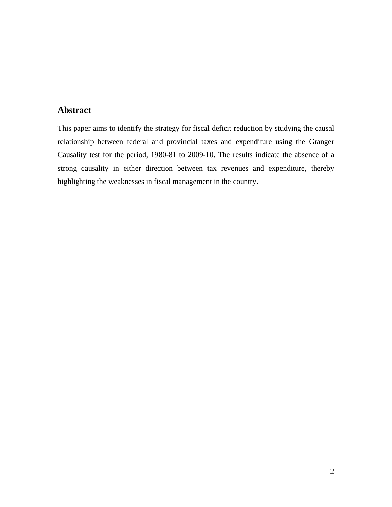#### **Abstract**

This paper aims to identify the strategy for fiscal deficit reduction by studying the causal relationship between federal and provincial taxes and expenditure using the Granger Causality test for the period, 1980-81 to 2009-10. The results indicate the absence of a strong causality in either direction between tax revenues and expenditure, thereby highlighting the weaknesses in fiscal management in the country.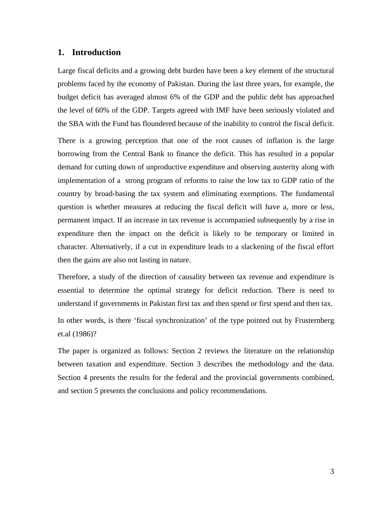#### **1. Introduction**

Large fiscal deficits and a growing debt burden have been a key element of the structural problems faced by the economy of Pakistan. During the last three years, for example, the budget deficit has averaged almost 6% of the GDP and the public debt has approached the level of 60% of the GDP. Targets agreed with IMF have been seriously violated and the SBA with the Fund has floundered because of the inability to control the fiscal deficit.

There is a growing perception that one of the root causes of inflation is the large borrowing from the Central Bank to finance the deficit. This has resulted in a popular demand for cutting down of unproductive expenditure and observing austerity along with implementation of a strong program of reforms to raise the low tax to GDP ratio of the country by broad-basing the tax system and eliminating exemptions. The fundamental question is whether measures at reducing the fiscal deficit will have a, more or less, permanent impact. If an increase in tax revenue is accompanied subsequently by a rise in expenditure then the impact on the deficit is likely to be temporary or limited in character. Alternatively, if a cut in expenditure leads to a slackening of the fiscal effort then the gains are also not lasting in nature.

Therefore, a study of the direction of causality between tax revenue and expenditure is essential to determine the optimal strategy for deficit reduction. There is need to understand if governments in Pakistan first tax and then spend or first spend and then tax.

In other words, is there 'fiscal synchronization' of the type pointed out by Frusternberg et.al (1986)?

The paper is organized as follows: Section 2 reviews the literature on the relationship between taxation and expenditure. Section 3 describes the methodology and the data. Section 4 presents the results for the federal and the provincial governments combined, and section 5 presents the conclusions and policy recommendations.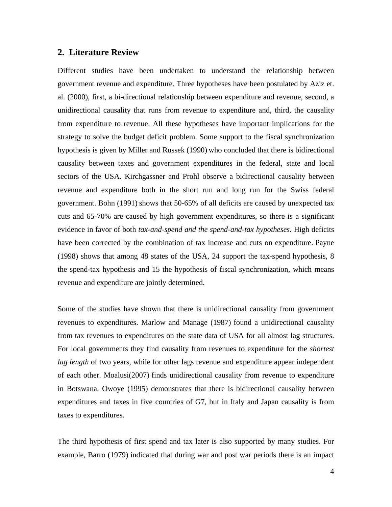#### **2. Literature Review**

Different studies have been undertaken to understand the relationship between government revenue and expenditure. Three hypotheses have been postulated by Aziz et. al. (2000), first, a bi-directional relationship between expenditure and revenue, second, a unidirectional causality that runs from revenue to expenditure and, third, the causality from expenditure to revenue. All these hypotheses have important implications for the strategy to solve the budget deficit problem. Some support to the fiscal synchronization hypothesis is given by Miller and Russek (1990) who concluded that there is bidirectional causality between taxes and government expenditures in the federal, state and local sectors of the USA. Kirchgassner and Prohl observe a bidirectional causality between revenue and expenditure both in the short run and long run for the Swiss federal government. Bohn (1991) shows that 50-65% of all deficits are caused by unexpected tax cuts and 65-70% are caused by high government expenditures, so there is a significant evidence in favor of both *tax-and-spend and the spend-and-tax hypotheses.* High deficits have been corrected by the combination of tax increase and cuts on expenditure. Payne (1998) shows that among 48 states of the USA, 24 support the tax-spend hypothesis, 8 the spend-tax hypothesis and 15 the hypothesis of fiscal synchronization, which means revenue and expenditure are jointly determined.

Some of the studies have shown that there is unidirectional causality from government revenues to expenditures. Marlow and Manage (1987) found a unidirectional causality from tax revenues to expenditures on the state data of USA for all almost lag structures.For local governments they find causality from revenues to expenditure for the *shortest lag length* of two years, while for other lags revenue and expenditure appear independent of each other. Moalusi(2007) finds unidirectional causality from revenue to expenditure in Botswana. Owoye (1995) demonstrates that there is bidirectional causality between expenditures and taxes in five countries of G7, but in Italy and Japan causality is from taxes to expenditures.

The third hypothesis of first spend and tax later is also supported by many studies. For example, Barro (1979) indicated that during war and post war periods there is an impact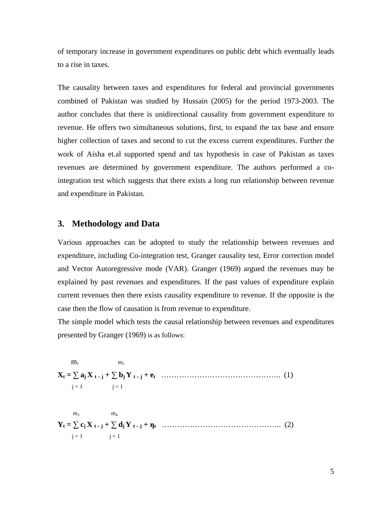of temporary increase in government expenditures on public debt which eventually leads to a rise in taxes.

The causality between taxes and expenditures for federal and provincial governments combined of Pakistan was studied by Hussain (2005) for the period 1973-2003. The author concludes that there is unidirectional causality from government expenditure to revenue. He offers two simultaneous solutions, first, to expand the tax base and ensure higher collection of taxes and second to cut the excess current expenditures. Further the work of Aisha et.al supported spend and tax hypothesis in case of Pakistan as taxes revenues are determined by government expenditure. The authors performed a cointegration test which suggests that there exists a long run relationship between revenue and expenditure in Pakistan.

#### **3. Methodology and Data**

Various approaches can be adopted to study the relationship between revenues and expenditure, including Co-integration test, Granger causality test, Error correction model and Vector Autoregressive mode (VAR). Granger (1969) argued the revenues may be explained by past revenues and expenditures. If the past values of expenditure explain current revenues then there exists causality expenditure to revenue. If the opposite is the case then the flow of causation is from revenue to expenditure. The simple model which tests the causal relationship between revenues and expenditures

presented by Granger (1969) is as follows:

 $m_1$  and  $m_2$  $m_2$ **Xt = aj X t – j + bj Y t – j + et** ……………………………………….. (1)  $j = 1$   $j = 1$  $m_3$  and  $m_4$  $m_4$ **Yt = cj X t – j + dj Y t – j + <sup>t</sup>** ……………………………………….. (2)  $j = 1$   $j = 1$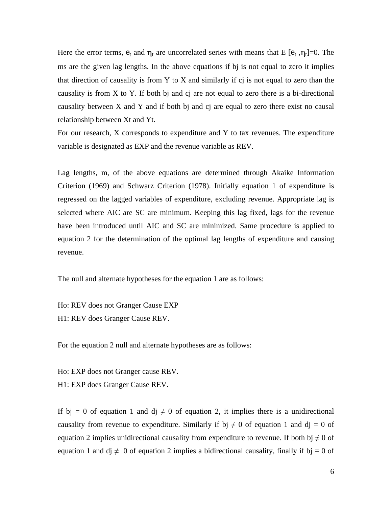Here the error terms,  $e_t$  and  $\eta_t$  are uncorrelated series with means that E [ $e_t$ ,  $\eta_t$ ]=0. The  $,\eta_t$ ]=0. The ms are the given lag lengths. In the above equations if bj is not equal to zero it implies that direction of causality is from Y to X and similarly if cj is not equal to zero than the causality is from X to Y. If both bj and cj are not equal to zero there is a bi-directional causality between X and Y and if both bj and cj are equal to zero there exist no causal relationship between Xt and Yt.

For our research, X corresponds to expenditure and Y to tax revenues. The expenditure variable is designated as EXP and the revenue variable as REV.

Lag lengths, m, of the above equations are determined through Akaike Information Criterion (1969) and Schwarz Criterion (1978). Initially equation 1 of expenditure is regressed on the lagged variables of expenditure, excluding revenue. Appropriate lag is selected where AIC are SC are minimum. Keeping this lag fixed, lags for the revenue have been introduced until AIC and SC are minimized. Same procedure is applied to equation 2 for the determination of the optimal lag lengths of expenditure and causing revenue.

The null and alternate hypotheses for the equation 1 are as follows:

Ho: REV does not Granger Cause EXP H1: REV does Granger Cause REV.

For the equation 2 null and alternate hypotheses are as follows:

Ho: EXP does not Granger cause REV.

H1: EXP does Granger Cause REV.

If bj = 0 of equation 1 and dj  $\neq$  0 of equation 2, it implies there is a unidirectional causality from revenue to expenditure. Similarly if bj  $\neq 0$  of equation 1 and dj = 0 of equation 2 implies unidirectional causality from expenditure to revenue. If both bj  $\neq 0$  of equation 1 and dj  $\neq 0$  of equation 2 implies a bidirectional causality, finally if bj = 0 of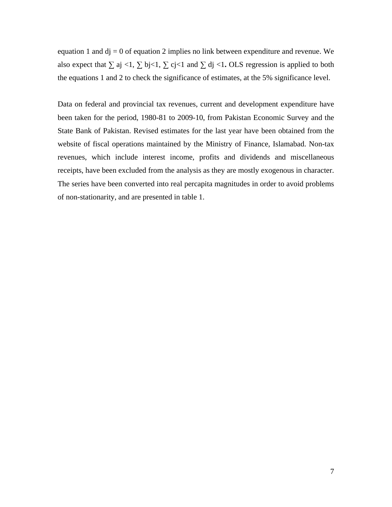equation 1 and  $dj = 0$  of equation 2 implies no link between expenditure and revenue. We also expect that  $\sum$  aj <1,  $\sum$  bj<1,  $\sum$  cj<1 and  $\sum$  dj <1. OLS regression is applied to both the equations 1 and 2 to check the significance of estimates, at the 5% significance level.

Data on federal and provincial tax revenues, current and development expenditure have been taken for the period, 1980-81 to 2009-10, from Pakistan Economic Survey and the State Bank of Pakistan. Revised estimates for the last year have been obtained from the website of fiscal operations maintained by the Ministry of Finance, Islamabad. Non-tax revenues, which include interest income, profits and dividends and miscellaneous receipts, have been excluded from the analysis as they are mostly exogenous in character. The series have been converted into real percapita magnitudes in order to avoid problems of non-stationarity, and are presented in table 1.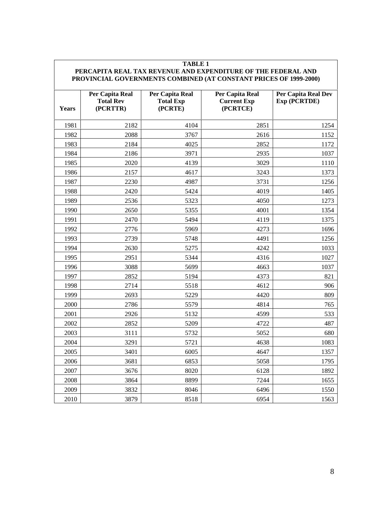#### **TABLE 1 PERCAPITA REAL TAX REVENUE AND EXPENDITURE OF THE FEDERAL AND PROVINCIAL GOVERNMENTS COMBINED (AT CONSTANT PRICES OF 1999-2000)**

| Years | Per Capita Real<br><b>Total Rev</b><br>(PCRTTR) | Per Capita Real<br><b>Total Exp</b><br>(PCRTE) | <b>Per Capita Real</b><br><b>Current Exp</b><br>(PCRTCE) | Per Capita Real Dev<br><b>Exp (PCRTDE)</b> |
|-------|-------------------------------------------------|------------------------------------------------|----------------------------------------------------------|--------------------------------------------|
| 1981  | 2182                                            | 4104                                           | 2851                                                     | 1254                                       |
| 1982  | 2088                                            | 3767                                           | 2616                                                     | 1152                                       |
| 1983  | 2184                                            | 4025                                           | 2852                                                     | 1172                                       |
| 1984  | 2186                                            | 3971                                           | 2935                                                     | 1037                                       |
| 1985  | 2020                                            | 4139                                           | 3029                                                     | 1110                                       |
| 1986  | 2157                                            | 4617                                           | 3243                                                     | 1373                                       |
| 1987  | 2230                                            | 4987                                           | 3731                                                     | 1256                                       |
| 1988  | 2420                                            | 5424                                           | 4019                                                     | 1405                                       |
| 1989  | 2536                                            | 5323                                           | 4050                                                     | 1273                                       |
| 1990  | 2650                                            | 5355                                           | 4001                                                     | 1354                                       |
| 1991  | 2470                                            | 5494                                           | 4119                                                     | 1375                                       |
| 1992  | 2776                                            | 5969                                           | 4273                                                     | 1696                                       |
| 1993  | 2739                                            | 5748                                           | 4491                                                     | 1256                                       |
| 1994  | 2630                                            | 5275                                           | 4242                                                     | 1033                                       |
| 1995  | 2951                                            | 5344                                           | 4316                                                     | 1027                                       |
| 1996  | 3088                                            | 5699                                           | 4663                                                     | 1037                                       |
| 1997  | 2852                                            | 5194                                           | 4373                                                     | 821                                        |
| 1998  | 2714                                            | 5518                                           | 4612                                                     | 906                                        |
| 1999  | 2693                                            | 5229                                           | 4420                                                     | 809                                        |
| 2000  | 2786                                            | 5579                                           | 4814                                                     | 765                                        |
| 2001  | 2926                                            | 5132                                           | 4599                                                     | 533                                        |
| 2002  | 2852                                            | 5209                                           | 4722                                                     | 487                                        |
| 2003  | 3111                                            | 5732                                           | 5052                                                     | 680                                        |
| 2004  | 3291                                            | 5721                                           | 4638                                                     | 1083                                       |
| 2005  | 3401                                            | 6005                                           | 4647                                                     | 1357                                       |
| 2006  | 3681                                            | 6853                                           | 5058                                                     | 1795                                       |
| 2007  | 3676                                            | 8020                                           | 6128                                                     | 1892                                       |
| 2008  | 3864                                            | 8899                                           | 7244                                                     | 1655                                       |
| 2009  | 3832                                            | 8046                                           | 6496                                                     | 1550                                       |
| 2010  | 3879                                            | 8518                                           | 6954                                                     | 1563                                       |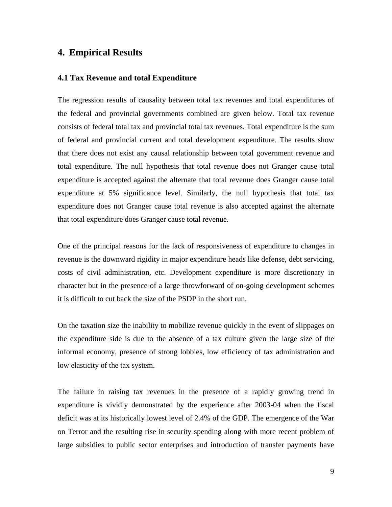## **4. Empirical Results**

#### **4.1 Tax Revenue and total Expenditure**

The regression results of causality between total tax revenues and total expenditures of the federal and provincial governments combined are given below. Total tax revenue consists of federal total tax and provincial total tax revenues. Total expenditure is the sum of federal and provincial current and total development expenditure. The results show that there does not exist any causal relationship between total government revenue and total expenditure. The null hypothesis that total revenue does not Granger cause total expenditure is accepted against the alternate that total revenue does Granger cause total expenditure at 5% significance level. Similarly, the null hypothesis that total tax expenditure does not Granger cause total revenue is also accepted against the alternate that total expenditure does Granger cause total revenue.

One of the principal reasons for the lack of responsiveness of expenditure to changes in revenue is the downward rigidity in major expenditure heads like defense, debt servicing, costs of civil administration, etc. Development expenditure is more discretionary in character but in the presence of a large throwforward of on-going development schemes it is difficult to cut back the size of the PSDP in the short run.

On the taxation size the inability to mobilize revenue quickly in the event of slippages on the expenditure side is due to the absence ofa tax culture given the large size of the informal economy, presence of strong lobbies, low efficiency of tax administration and low elasticity of the tax system.

The failure in raising tax revenues in the presence of a rapidly growing trend in expenditure is vividly demonstrated by the experience after 2003-04 when the fiscal deficit was at its historically lowest level of 2.4% of the GDP. The emergence of the War on Terror and the resulting rise in security spending along with more recent problem of large subsidies to public sector enterprises and introduction of transfer payments have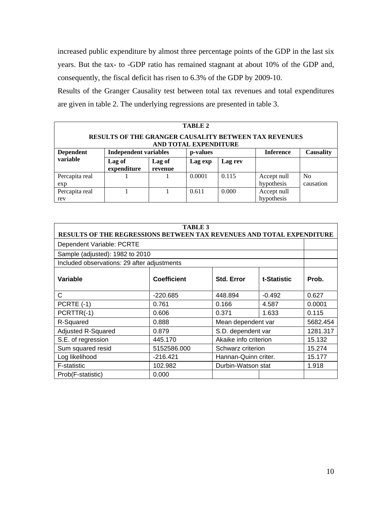increased public expenditure by almost three percentage points of the GDP in the last six years. But the tax- to -GDP ratio has remained stagnant at about 10% of the GDP and, consequently, the fiscal deficit has risen to 6.3% of the GDP by 2009-10.

Results of the Granger Causality test between total tax revenues and total expenditures are given in table 2. The underlying regressions are presented in table 3.

| <b>TABLE 2</b>   |                              |                   |                       |         |                                                       |           |  |  |
|------------------|------------------------------|-------------------|-----------------------|---------|-------------------------------------------------------|-----------|--|--|
|                  |                              |                   | AND TOTAL EXPENDITURE |         | RESULTS OF THE GRANGER CAUSALITY BETWEEN TAX REVENUES |           |  |  |
| <b>Dependent</b> | <b>Independent variables</b> |                   | p-values              |         | <b>Inference</b>                                      | Causality |  |  |
| variable         | Lag o<br>  expenditure       | Lag of<br>revenue | Lag exp               | Lag rev |                                                       |           |  |  |
| Percapita real   |                              |                   | 0.0001                | 0.115   | Accept null                                           | No.       |  |  |
| exn              |                              |                   |                       |         | hypothesis                                            | causation |  |  |
| Percapita real   |                              |                   | 0.611                 | 0.000   | Accept null                                           |           |  |  |
|                  |                              |                   |                       |         | hypothesis                                            |           |  |  |

|                                                                              | TABLE 3            |                       |             |          |
|------------------------------------------------------------------------------|--------------------|-----------------------|-------------|----------|
| <b>RESULTS OF THE REGRESSIONS BETWEEN TAX REVENUES AND TOTAL EXPENDITURE</b> |                    |                       |             |          |
| Dependent Variable: PCRTE                                                    |                    |                       |             |          |
| Sample (adjusted): 1982 to 2010                                              |                    |                       |             |          |
| Included observations: 29 after adjustments                                  |                    |                       |             |          |
| Variable                                                                     | <b>Coefficient</b> | Std. Error            | t-Statistic | Prob.    |
|                                                                              | -220.685           | 448.894               | $-0.492$    | 0.627    |
| $\vert$ PCRTE (-1)                                                           | 0.761              | 0.166                 | 4.587       | 0.0001   |
| $\overline{\big }$ PCRTTR(-1)                                                | 0.606              | 0.371                 | 1.633       | 0.115    |
| R-Squared                                                                    | 0.888              | Mean dependent var    |             | 5682.454 |
| Adjusted R-Squared                                                           | 0.879              | S.D. dependent var    |             | 1281.317 |
| S.E. of regression                                                           | 445.170            | Akaike info criterion |             | 15.132   |
| Sum squared resid                                                            | 5152586.000        | Schwarz criterion     |             | 15.274   |
| Log likelihood                                                               | $-216.421$         | Hannan-Quinn criter.  |             | 15.177   |
| F-statistic                                                                  | 102.982            | Durbin-Watson stat    |             | 1.918    |
| Prob(F-statistic)                                                            | 0.000              |                       |             |          |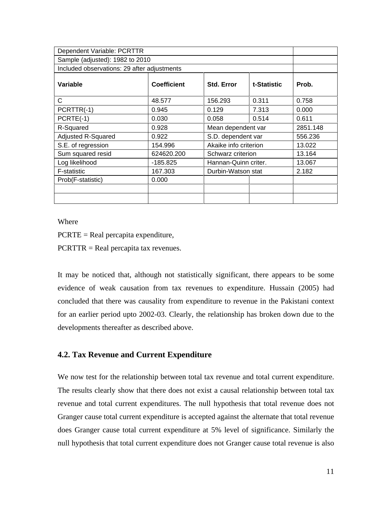| Dependent Variable: PCRTTR                  |             |                       |             |          |
|---------------------------------------------|-------------|-----------------------|-------------|----------|
| Sample (adjusted): 1982 to 2010             |             |                       |             |          |
| Included observations: 29 after adjustments |             |                       |             |          |
| Variable                                    | Coefficient | Std. Error            | t-Statistic | Prob.    |
|                                             | 48.577      | 156.293               | 0.311       | 0.758    |
| $\vert$ PCRTTR(-1)                          | 0.945       | 0.129                 | 7.313       | 0.000    |
| $PCRTE(-1)$                                 | 0.030       | 0.058                 | 0.514       | 0.611    |
| R-Squared                                   | 0.928       | Mean dependent var    |             | 2851.148 |
| Adjusted R-Squared                          | 0.922       | S.D. dependent var    |             | 556.236  |
| S.E. of regression                          | 154.996     | Akaike info criterion |             | 13.022   |
| Sum squared resid                           | 624620.200  | Schwarz criterion     |             | 13.164   |
| Log likelihood                              | $-185.825$  | Hannan-Quinn criter.  |             | 13.067   |
| F-statistic                                 | 167.303     | Durbin-Watson stat    |             | 2.182    |
| Prob(F-statistic)                           | 0.000       |                       |             |          |
|                                             |             |                       |             |          |
|                                             |             |                       |             |          |

Where **the contract of the contract of the contract of the contract of the contract of the contract of the contract of the contract of the contract of the contract of the contract of the contract of the contract of the con** 

PCRTE = Real percapita expenditure,

PCRTTR = Real percapita tax revenues.

It may be noticed that, although not statistically significant, there appears to be some evidence of weak causation from tax revenues to expenditure. Hussain (2005) had concluded that there was causality from expenditure to revenue in the Pakistani context for an earlier period upto 2002-03. Clearly, the relationship has broken down due to the developments thereafter as described above.

#### **4.2. Tax Revenue and Current Expenditure**

We now test for the relationship between total tax revenue and total current expenditure. The results clearly show that there does not exist a causal relationship between total tax revenue and total current expenditures. The null hypothesis that total revenue does not Granger cause total current expenditure is accepted against the alternate that total revenue does Granger cause total current expenditure at 5% level of significance. Similarly the null hypothesis that total current expenditure does not Granger cause total revenue is also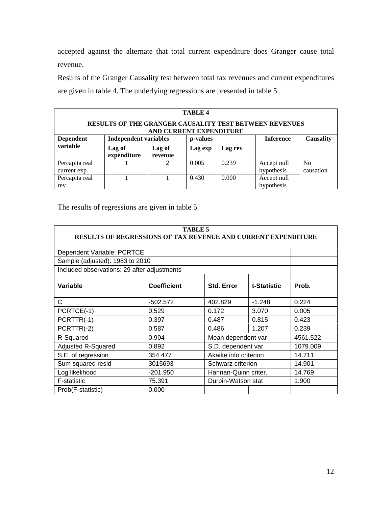accepted against the alternate that total current expenditure does Granger cause total revenue.

Results of the Granger Causality test between total tax revenues and current expenditures are given in table 4. The underlying regressions are presented in table 5.

| <b>TABLE 4</b> |                              |                   |                         |         |                                                        |                  |  |  |
|----------------|------------------------------|-------------------|-------------------------|---------|--------------------------------------------------------|------------------|--|--|
|                |                              |                   | AND CURRENT EXPENDITURE |         | RESULTS OF THE GRANGER CAUSALITY TEST BETWEEN REVENUES |                  |  |  |
| Dependent      | <b>Independent variables</b> |                   | p-values                |         | <b>Inference</b>                                       | <b>Causality</b> |  |  |
| variable       | Lag c<br>expenditure         | Lag of<br>revenue | Lag exp                 | Lag rev |                                                        |                  |  |  |
| Percapita real |                              |                   | 0.005                   | 0.239   | Accept null                                            | N0               |  |  |
| current exp    |                              |                   |                         |         | hypothesi <sup>r</sup><br>$\overline{1}$               | causation        |  |  |
| Percapita real |                              |                   | 0.430                   | 0.000   | Accept null                                            |                  |  |  |
| rev            |                              |                   |                         |         | hypothesis                                             |                  |  |  |

The results of regressions are given in table 5

|                                             | RESULTS OF REGRESSIONS OF TAX REVENUE AND CURRENT EXPENDITURE | <b>TABLE 5</b>        |             |          |
|---------------------------------------------|---------------------------------------------------------------|-----------------------|-------------|----------|
| Dependent Variable: PCRTCE                  |                                                               |                       |             |          |
| Sample (adjusted): 1983 to 2010             |                                                               |                       |             |          |
| Included observations: 29 after adjustments |                                                               |                       |             |          |
| Variable                                    | <b>Coefficient</b>                                            | <b>Std. Error</b>     | t-Statistic | Prob.    |
|                                             | $-502.572$                                                    | 402.829               | $-1.248$    | 0.224    |
| $\vert$ PCRTCE(-1)                          | 0.529                                                         | 0.172                 | 3.070       | 0.005    |
| PCRTTR(-1)                                  | 0.397                                                         | 0.487                 | 0.815       | 0.423    |
| $\vert$ PCRTTR(-2)                          | 0.587                                                         | 0.486                 | 1.207       | 0.239    |
| R-Squared                                   | 0.904                                                         | Mean dependent var    |             | 4561.522 |
| Adjusted R-Squared                          | 0.892                                                         | S.D. dependent var    |             | 1079.009 |
| S.E. of regression                          | 354.477                                                       | Akaike info criterion |             | 14.711   |
| Sum squared resid                           | 3015693                                                       | Schwarz criterion     |             | 14.901   |
| Log likelihood                              | $-201.950$                                                    | Hannan-Quinn criter.  |             | 14.769   |
| F-statistic                                 | 75.391                                                        | Durbin-Watson stat    |             | 1.900    |
| Prob(F-statistic)                           | 0.000                                                         |                       |             |          |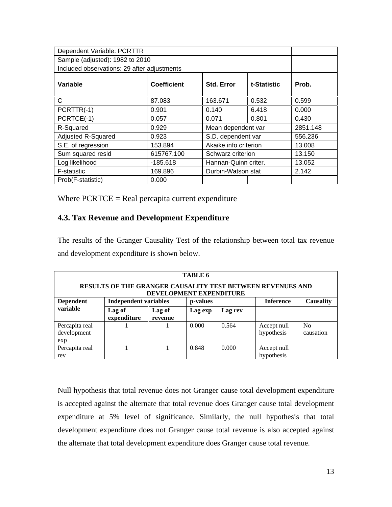| Dependent Variable: PCRTTR                  |                    |                       |             |          |
|---------------------------------------------|--------------------|-----------------------|-------------|----------|
| Sample (adjusted): 1982 to 2010             |                    |                       |             |          |
| Included observations: 29 after adjustments |                    |                       |             |          |
| Variable                                    | <b>Coefficient</b> | Std. Error            | t-Statistic | Prob.    |
|                                             | 87.083             | 163.671               | 0.532       | 0.599    |
| $\vert$ PCRTTR(-1)                          | 0.901              | 0.140                 | 6.418       | 0.000    |
| $\vert$ PCRTCE(-1)                          | 0.057              | 0.071                 | 0.801       | 0.430    |
| R-Squared                                   | 0.929              | Mean dependent var    |             | 2851.148 |
| Adjusted R-Squared                          | 0.923              | S.D. dependent var    |             | 556.236  |
| S.E. of regression                          | 153.894            | Akaike info criterion |             | 13.008   |
| Sum squared resid                           | 615767.100         | Schwarz criterion     |             | 13.150   |
| Log likelihood                              | -185.618           | Hannan-Quinn criter.  |             | 13.052   |
| <b>F-statistic</b>                          | 169.896            | Durbin-Watson stat    |             | 2.142    |
| Prob(F-statistic)                           | 0.000              |                       |             |          |

Where  $PCRTCE = Real percapita current expenditure$ 

## **4.3. Tax Revenue and Development Expenditure**

The results of the Granger Causality Test of the relationship between total tax revenue and development expenditure is shown below.

|                                      |                              |                                | <b>TABLE 6</b> |         |                                                            |                   |
|--------------------------------------|------------------------------|--------------------------------|----------------|---------|------------------------------------------------------------|-------------------|
|                                      |                              | <b>DEVELOPMENT EXPENDITURE</b> |                |         | RESULTS OF THE GRANGER CAUSALITY TEST BETWEEN REVENUES AND |                   |
| Dependent                            | <b>Independent variables</b> |                                | p-values       |         | <b>Inference</b>                                           | Causality         |
| variable                             | Lag o<br>  expenditure       | Lag of<br>revenue              | <b>Lag exp</b> | Lag rev |                                                            |                   |
| Percapita real<br>development<br>exp |                              |                                | 0.000          | 0.564   | Accept null<br>hypothesis                                  | - No<br>causation |
| Percapita real<br>rev                |                              |                                | 0.848          | 0.000   | Accept null<br>hypothesis                                  |                   |

Null hypothesis that total revenue does not Granger cause total development expenditure is accepted against the alternate that total revenue does Granger cause total development expenditure at 5% level of significance. Similarly, the null hypothesis that total development expenditure does not Granger cause total revenue is also accepted against the alternate that total development expenditure does Granger cause total revenue.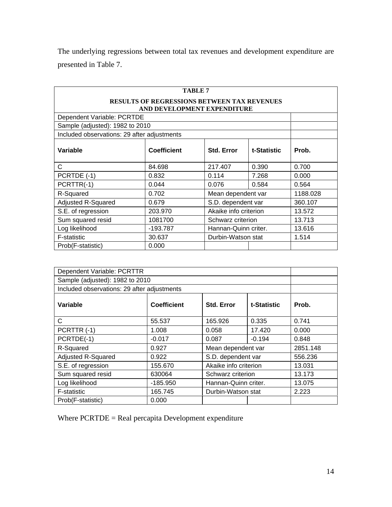The underlying regressions between total tax revenues and development expenditure are presented in Table 7.

|                                             |                                             | <b>TABLE 7</b>        |             |          |
|---------------------------------------------|---------------------------------------------|-----------------------|-------------|----------|
|                                             | RESULTS OF REGRESSIONS BETWEEN TAX REVENUES |                       |             |          |
| Dependent Variable: PCRTDE                  | AND DEVELOPMENT EXPENDITURE                 |                       |             |          |
|                                             |                                             |                       |             |          |
| Sample (adjusted): 1982 to 2010             |                                             |                       |             |          |
| Included observations: 29 after adjustments |                                             |                       |             |          |
| Variable                                    | <b>Coefficient</b>                          | Std. Error            | t-Statistic | Prob.    |
|                                             | 84.698                                      | 217.407               | 0.390       | 0.700    |
| $\vert$ PCRTDE (-1)                         | 0.832                                       | 0.114                 | 7.268       | 0.000    |
| $\vert$ PCRTTR(-1)                          | 0.044                                       | 0.076                 | 0.584       | 0.564    |
| R-Squared                                   | 0.702                                       | Mean dependent var    |             | 1188.028 |
| Adjusted R-Squared                          | 0.679                                       | S.D. dependent var    |             | 360.107  |
| S.E. of regression                          | 203.970                                     | Akaike info criterion |             | 13.572   |
| Sum squared resid                           | 1081700                                     | Schwarz criterion     |             | 13.713   |
| Log likelihood                              | $-193.787$                                  | Hannan-Quinn criter.  |             | 13.616   |
| F-statistic                                 | 30.637                                      | Durbin-Watson stat    |             | 1.514    |
| Prob(F-statistic)                           | 0.000                                       |                       |             |          |

| Dependent Variable: PCRTTR                  |                    |                       |             |          |
|---------------------------------------------|--------------------|-----------------------|-------------|----------|
| Sample (adjusted): 1982 to 2010             |                    |                       |             |          |
| Included observations: 29 after adjustments |                    |                       |             |          |
| Variable                                    | <b>Coefficient</b> | Std. Error            | t-Statistic | Prob.    |
|                                             | 55.537             | 165.926               | 0.335       | 0.741    |
| $\vert$ PCRTTR $(-1)$                       | 1.008              | 0.058                 | 17.420      | 0.000    |
| $\overline{\big }$ PCRTDE(-1)               | $-0.017$           | 0.087                 | $-0.194$    | 0.848    |
| R-Squared                                   | 0.927              | Mean dependent var    |             | 2851.148 |
| Adjusted R-Squared                          | 0.922              | S.D. dependent var    |             | 556.236  |
| S.E. of regression                          | 155.670            | Akaike info criterion |             | 13.031   |
| Sum squared resid                           | 630064             | Schwarz criterion     |             | 13.173   |
| Log likelihood                              | -185.950           | Hannan-Quinn criter.  |             | 13.075   |
| F-statistic                                 | 165.745            | Durbin-Watson stat    |             | 2.223    |
| Prob(F-statistic)                           | 0.000              |                       |             |          |

Where PCRTDE = Real percapita Development expenditure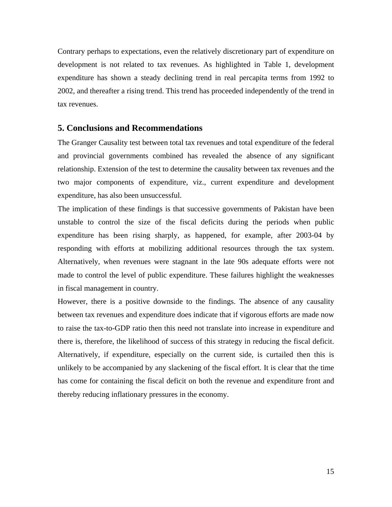Contrary perhaps to expectations, even the relatively discretionary part of expenditure on development is not related to tax revenues. As highlighted in Table 1, development expenditure has shown a steady declining trend in real percapita terms from 1992 to 2002, and thereafter a rising trend. This trend has proceeded independently of the trend in tax revenues.

#### **5. Conclusions and Recommendations**

The Granger Causality test between total tax revenues and total expenditure of the federal and provincial governments combined has revealed the absence of any significant relationship. Extension of the test to determine the causality between tax revenues and the two major components of expenditure, viz., current expenditure and development expenditure, has also been unsuccessful.

The implication of these findings is that successive governments of Pakistan have been unstable to control the size of the fiscal deficits during the periods when public expenditure has been rising sharply, as happened, for example, after 2003-04 by responding with efforts at mobilizing additional resources through the tax system. Alternatively, when revenues were stagnant in the late 90s adequate efforts were not made to control the level of public expenditure. These failures highlight the weaknesses in fiscal management in country.

However, there is a positive downside to the findings. The absence of any causality between tax revenues and expenditure does indicate that if vigorous efforts are made now to raise the tax-to-GDP ratio then this need not translate into increase in expenditure and there is, therefore, the likelihood of success of this strategy in reducing the fiscal deficit. Alternatively, if expenditure, especially on the current side, is curtailed then this is unlikely to be accompanied by any slackening of the fiscal effort. It is clear that the time has come for containing the fiscal deficit on both the revenue and expenditure front and thereby reducing inflationary pressures in the economy.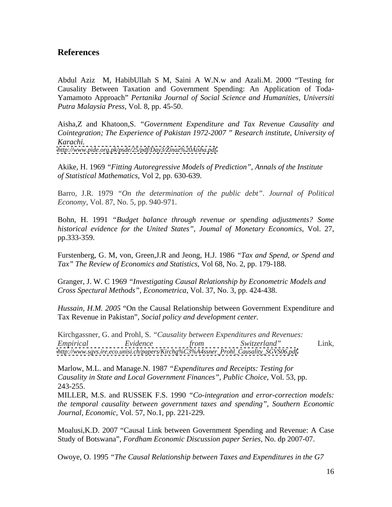# **References**

Abdul Aziz M, HabibUllah S M, Saini A W.N.w and Azali.M. 2000 "Testing for Causality Between Taxation and Government Spending: An Application of Toda- Yamamoto Approach" *Pertanika Journal of Social Science and Humanities, Universiti Putra Malaysia Press,* Vol. 8, pp. 45-50.

Aisha,Z and Khatoon,S. *"Government Expenditure and Tax Revenue Causality and Cointegration; The Experience of Pakistan 1972-2007 " Research institute, University of Karachi.*

*<http://www.pide.org.pk/psde/25/pdf/Day3/Zinaz%20Aisha.pdf>*

Akike, H. 1969 *"Fitting Autoregressive Models of Prediction", Annals of the Institute of Statistical Mathematics,* Vol 2, pp. 630-639.

Barro, J.R. 1979 *"On the determination of the public debt"*. *Journal of Political Economy,* Vol. 87, No. 5, pp. 940-971.

Bohn, H. 1991 *"Budget balance through revenue or spending adjustments? Some historical evidence for the United States"*, *Joumal of Monetary Economics,* Vol. 27, pp.333-359.

Furstenberg, G. M, von, Green,J.R and Jeong, H.J. 1986 *"Taxand Spend, or Spend and Tax" The Review of Economics and Statistics*, Vol 68, No. 2, pp. 179-188.

Granger, J. W. C 1969 *"Investigating Causal Relationship by Econometric Models and Cross Spectural Methods"*, *Econometrica*, Vol. 37, No. 3, pp. 424-438.

*Hussain, H.M. 2005* "On the Causal Relationship between Government Expenditure and Tax Revenue in Pakistan"*, Social policy and development center.*

Kirchgassner, G. and Prohl, S. *"Causality between Expenditures and Revenues: Empirical Evidence from Switzerland"* Link, *[http://www.sgvs.ire.eco.unisi.ch/papers/Kirchg%C3%A4ssner\\_Prohl\\_Causality\\_SGVS06.pdf.](http://www.sgvs.ire.eco.unisi.ch/papers/Kirchg%C3%A4ssner_Prohl_Causality_SGVS06.pdf)*

Marlow, M.L. and Manage.N. 1987 *"Expenditures and Receipts: Testing for Causality in State and Local Government Finances"*, *Public Choice*, Vol. 53, pp. 243-255.

MILLER, M.S. and RUSSEK F.S. 1990 *"Co-integration and error-correction models: the temporal causality between government taxes and spending"*, *Southern Economic Journal, Economic,* Vol. 57, No.1, pp. 221-229.

Moalusi,K.D. 2007 "Causal Link between Government Spending and Revenue: A Case Study of Botswana", *Fordham Economic Discussion paper Series,* No. dp 2007-07.

Owoye, O. 1995 *"The Causal Relationship between Taxes and Expenditures in the G7*